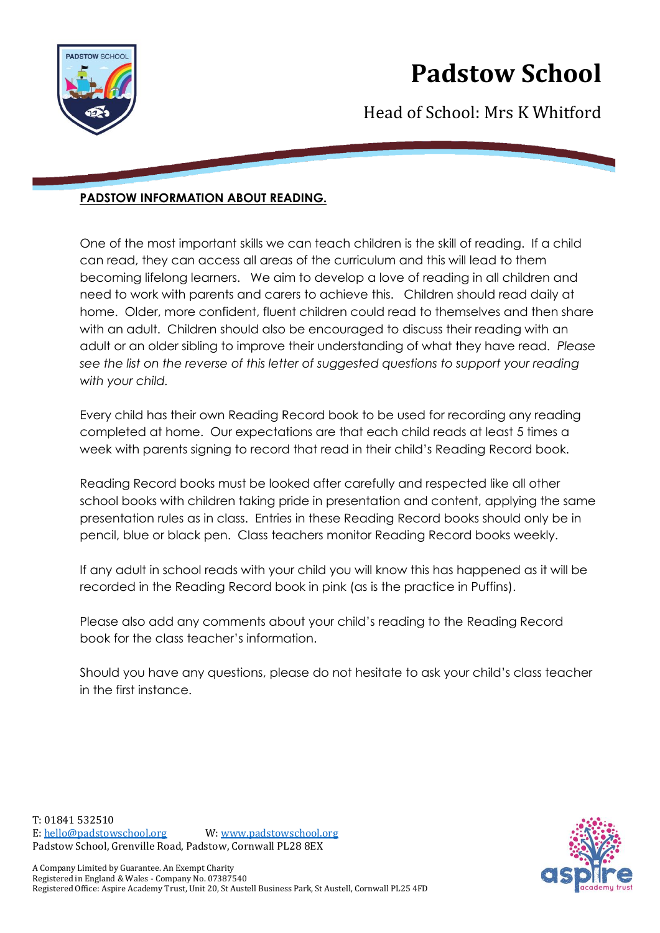

## **Padstow School**

Head of School: Mrs K Whitford

### **PADSTOW INFORMATION ABOUT READING.**

One of the most important skills we can teach children is the skill of reading. If a child can read, they can access all areas of the curriculum and this will lead to them becoming lifelong learners. We aim to develop a love of reading in all children and need to work with parents and carers to achieve this. Children should read daily at home. Older, more confident, fluent children could read to themselves and then share with an adult. Children should also be encouraged to discuss their reading with an adult or an older sibling to improve their understanding of what they have read. *Please see the list on the reverse of this letter of suggested questions to support your reading with your child.*

Every child has their own Reading Record book to be used for recording any reading completed at home. Our expectations are that each child reads at least 5 times a week with parents signing to record that read in their child's Reading Record book.

Reading Record books must be looked after carefully and respected like all other school books with children taking pride in presentation and content, applying the same presentation rules as in class. Entries in these Reading Record books should only be in pencil, blue or black pen. Class teachers monitor Reading Record books weekly.

If any adult in school reads with your child you will know this has happened as it will be recorded in the Reading Record book in pink (as is the practice in Puffins).

Please also add any comments about your child's reading to the Reading Record book for the class teacher's information.

Should you have any questions, please do not hesitate to ask your child's class teacher in the first instance.

T: 01841 532510 E: [hello@padstowschool.org](mailto:hello@padstowschool.org) W[: www.padstowschool.org](http://www.padstowschool.org/) Padstow School, Grenville Road, Padstow, Cornwall PL28 8EX

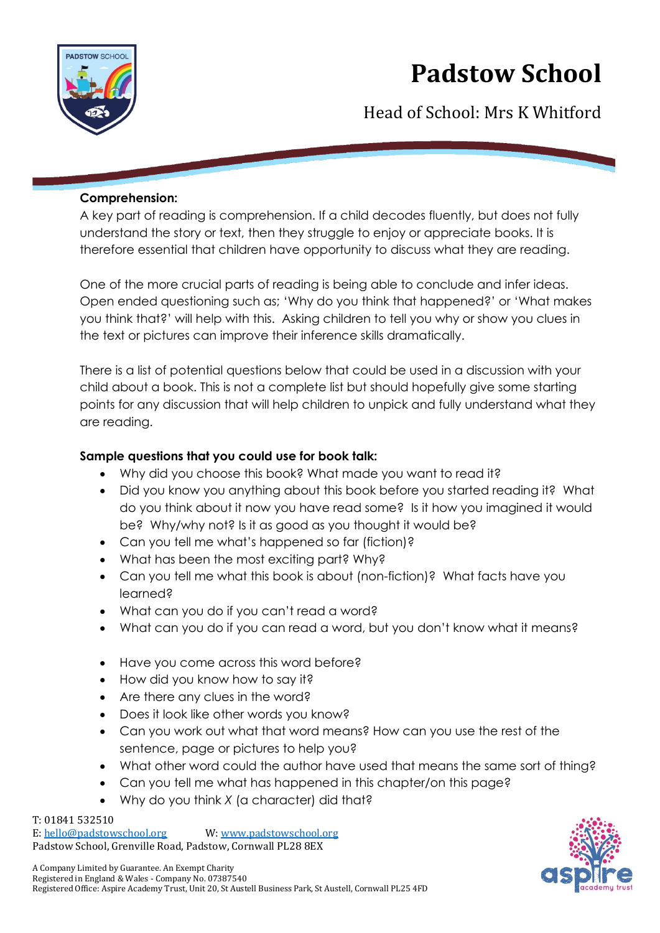

# **Padstow School**

Head of School: Mrs K Whitford

#### **Comprehension:**

A key part of reading is comprehension. If a child decodes fluently, but does not fully understand the story or text, then they struggle to enjoy or appreciate books. It is therefore essential that children have opportunity to discuss what they are reading.

One of the more crucial parts of reading is being able to conclude and infer ideas. Open ended questioning such as; 'Why do you think that happened?' or 'What makes you think that?' will help with this. Asking children to tell you why or show you clues in the text or pictures can improve their inference skills dramatically.

There is a list of potential questions below that could be used in a discussion with your child about a book. This is not a complete list but should hopefully give some starting points for any discussion that will help children to unpick and fully understand what they are reading.

### **Sample questions that you could use for book talk:**

- Why did you choose this book? What made you want to read it?
- Did you know you anything about this book before you started reading it? What do you think about it now you have read some? Is it how you imagined it would be? Why/why not? Is it as good as you thought it would be?
- Can you tell me what's happened so far (fiction)?
- What has been the most exciting part? Why?
- Can you tell me what this book is about (non-fiction)? What facts have you learned?
- What can you do if you can't read a word?
- What can you do if you can read a word, but you don't know what it means?
- Have you come across this word before?
- How did you know how to say it?
- Are there any clues in the word?
- Does it look like other words you know?
- Can you work out what that word means? How can you use the rest of the sentence, page or pictures to help you?
- What other word could the author have used that means the same sort of thing?
- Can you tell me what has happened in this chapter/on this page?
- Why do you think *X* (a character) did that?

T: 01841 532510 E: [hello@padstowschool.org](mailto:hello@padstowschool.org) W[: www.padstowschool.org](http://www.padstowschool.org/) Padstow School, Grenville Road, Padstow, Cornwall PL28 8EX